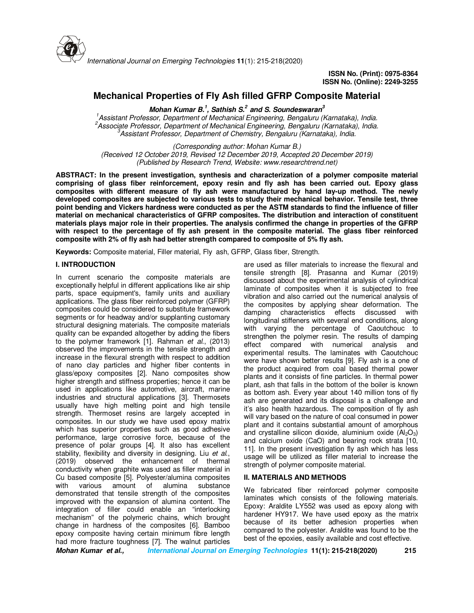

# **Mechanical Properties of Fly Ash filled GFRP Composite Material**

**Mohan Kumar B.<sup>1</sup> , Sathish S.<sup>2</sup>and S. Soundeswaran<sup>3</sup>**

*<sup>1</sup>Assistant Professor, Department of Mechanical Engineering, Bengaluru (Karnataka), India. <sup>2</sup>Associate Professor, Department of Mechanical Engineering, Bengaluru (Karnataka), India. <sup>3</sup>Assistant Professor, Department of Chemistry, Bengaluru (Karnataka), India.*

*(Corresponding author: Mohan Kumar B.) (Received 12 October 2019, Revised 12 December 2019, Accepted 20 December 2019) (Published by Research Trend, Website: www.researchtrend.net)*

**ABSTRACT: In the present investigation, synthesis and characterization of a polymer composite material comprising of glass fiber reinforcement, epoxy resin and fly ash has been carried out. Epoxy glass composites with different measure of fly ash were manufactured by hand lay-up method. The newly developed composites are subjected to various tests to study their mechanical behavior. Tensile test, three point bending and Vickers hardness were conducted as per the ASTM standards to find the influence of filler material on mechanical characteristics of GFRP composites. The distribution and interaction of constituent materials plays major role in their properties. The analysis confirmed the change in properties of the GFRP with respect to the percentage of fly ash present in the composite material. The glass fiber reinforced composite with 2% of fly ash had better strength compared to composite of 5% fly ash.** 

**Keywords:** Composite material, Filler material, Fly ash, GFRP, Glass fiber, Strength.

### **I. INTRODUCTION**

In current scenario the composite materials are exceptionally helpful in different applications like air ship parts, space equipment's, family units and auxiliary applications. The glass fiber reinforced polymer (GFRP) composites could be considered to substitute framework segments or for headway and/or supplanting customary structural designing materials. The composite materials quality can be expanded altogether by adding the fibers to the polymer framework [1]. Rahman *et al*., (2013) observed the improvements in the tensile strength and increase in the flexural strength with respect to addition of nano clay particles and higher fiber contents in glass/epoxy composites [2]. Nano composites show higher strength and stiffness properties; hence it can be used in applications like automotive, aircraft, marine industries and structural applications [3]. Thermosets usually have high melting point and high tensile strength. Thermoset resins are largely accepted in composites. In our study we have used epoxy matrix which has superior properties such as good adhesive performance, large corrosive force, because of the presence of polar groups [4]. It also has excellent stability, flexibility and diversity in designing. Liu *et al*., (2019) observed the enhancement of thermal conductivity when graphite was used as filler material in Cu based composite [5]. Polyester/alumina composites with various amount of alumina substance demonstrated that tensile strength of the composites improved with the expansion of alumina content. The integration of filler could enable an "interlocking mechanism" of the polymeric chains, which brought change in hardness of the composites [6]. Bamboo epoxy composite having certain minimum fibre length had more fracture toughness [7]. The walnut particles

are used as filler materials to increase the flexural and tensile strength [8]. Prasanna and Kumar (2019) discussed about the experimental analysis of cylindrical laminate of composites when it is subjected to free vibration and also carried out the numerical analysis of the composites by applying shear deformation. The damping characteristics effects discussed with longitudinal stiffeners with several end conditions, along with varying the percentage of Caoutchouc to strengthen the polymer resin. The results of damping effect compared with numerical analysis and experimental results. The laminates with Caoutchouc were have shown better results [9]. Fly ash is a one of the product acquired from coal based thermal power plants and it consists of fine particles. In thermal power plant, ash that falls in the bottom of the boiler is known as bottom ash. Every year about 140 million tons of fly ash are generated and its disposal is a challenge and it's also health hazardous. The composition of fly ash will vary based on the nature of coal consumed in power plant and it contains substantial amount of amorphous and crystalline silicon dioxide, aluminium oxide  $(AI_2O_3)$ and calcium oxide (CaO) and bearing rock strata [10, 11]. In the present investigation fly ash which has less usage will be utilized as filler material to increase the strength of polymer composite material.

### **II. MATERIALS AND METHODS**

We fabricated fiber reinforced polymer composite laminates which consists of the following materials. Epoxy: Araldite LY552 was used as epoxy along with hardener HY917. We have used epoxy as the matrix because of its better adhesion properties when compared to the polyester. Araldite was found to be the best of the epoxies, easily available and cost effective.

**Mohan Kumar et al., International Journal on Emerging Technologies 11(1): 215-218(2020) 215**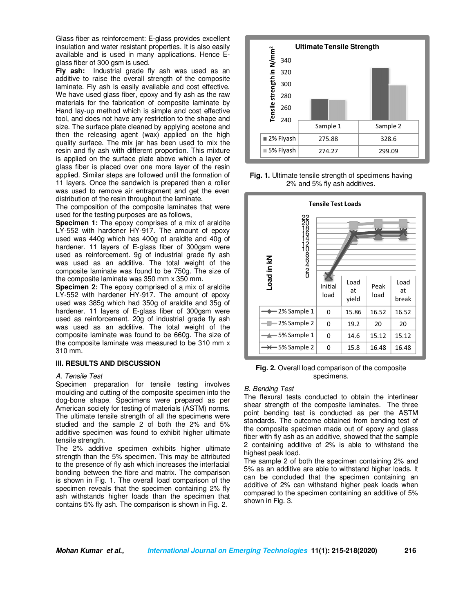Glass fiber as reinforcement: E-glass provides excellent insulation and water resistant properties. It is also easily available and is used in many applications. Hence Eglass fiber of 300 gsm is used.

**Fly ash:** Industrial grade fly ash was used as an additive to raise the overall strength of the composite laminate. Fly ash is easily available and cost effective. We have used glass fiber, epoxy and fly ash as the raw materials for the fabrication of composite laminate by Hand lay-up method which is simple and cost effective tool, and does not have any restriction to the shape and size. The surface plate cleaned by applying acetone and then the releasing agent (wax) applied on the high quality surface. The mix jar has been used to mix the resin and fly ash with different proportion. This mixture is applied on the surface plate above which a layer of glass fiber is placed over one more layer of the resin applied. Similar steps are followed until the formation of 11 layers. Once the sandwich is prepared then a roller was used to remove air entrapment and get the even distribution of the resin throughout the laminate.

The composition of the composite laminates that were used for the testing purposes are as follows,

**Specimen 1:** The epoxy comprises of a mix of araldite LY-552 with hardener HY-917. The amount of epoxy used was 440g which has 400g of araldite and 40g of hardener. 11 layers of E-glass fiber of 300gsm were used as reinforcement. 9g of industrial grade fly ash was used as an additive. The total weight of the composite laminate was found to be 750g. The size of the composite laminate was 350 mm x 350 mm.

**Specimen 2:** The epoxy comprised of a mix of araldite LY-552 with hardener HY-917. The amount of epoxy used was 385g which had 350g of araldite and 35g of hardener. 11 layers of E-glass fiber of 300gsm were used as reinforcement. 20g of industrial grade fly ash was used as an additive. The total weight of the composite laminate was found to be 660g. The size of the composite laminate was measured to be 310 mm x 310 mm.

### **III. RESULTS AND DISCUSSION**

#### *A. Tensile Test*

Specimen preparation for tensile testing involves moulding and cutting of the composite specimen into the dog-bone shape. Specimens were prepared as per American society for testing of materials (ASTM) norms. The ultimate tensile strength of all the specimens were studied and the sample 2 of both the 2% and 5% additive specimen was found to exhibit higher ultimate tensile strength.

The 2% additive specimen exhibits higher ultimate strength than the 5% specimen. This may be attributed to the presence of fly ash which increases the interfacial bonding between the fibre and matrix. The comparison is shown in Fig. 1. The overall load comparison of the specimen reveals that the specimen containing 2% fly ash withstands higher loads than the specimen that contains 5% fly ash. The comparison is shown in Fig. 2.



**Fig. 1.** Ultimate tensile strength of specimens having 2% and 5% fly ash additives.



**Fig. 2.** Overall load comparison of the composite specimens.

### *B. Bending Test*

The flexural tests conducted to obtain the interlinear shear strength of the composite laminates. The three point bending test is conducted as per the ASTM standards. The outcome obtained from bending test of the composite specimen made out of epoxy and glass fiber with fly ash as an additive, showed that the sample 2 containing additive of 2% is able to withstand the highest peak load.

The sample 2 of both the specimen containing 2% and 5% as an additive are able to withstand higher loads. It can be concluded that the specimen containing an additive of 2% can withstand higher peak loads when compared to the specimen containing an additive of 5% shown in Fig. 3.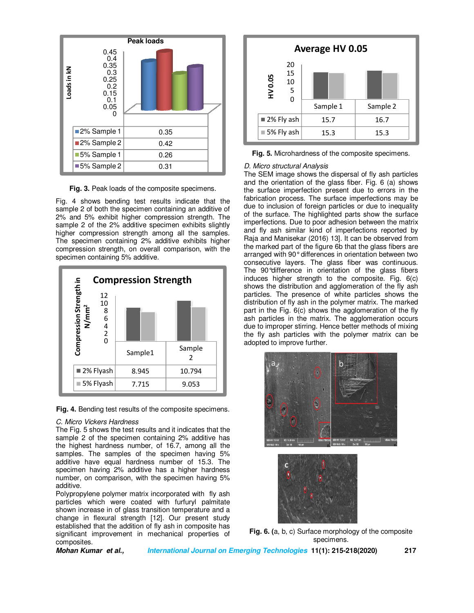

**Fig. 3.** Peak loads of the composite specimens.

Fig. 4 shows bending test results indicate that the sample 2 of both the specimen containing an additive of 2% and 5% exhibit higher compression strength. The sample 2 of the 2% additive specimen exhibits slightly higher compression strength among all the samples. The specimen containing 2% additive exhibits higher compression strength, on overall comparison, with the specimen containing 5% additive.



**Fig. 4.** Bending test results of the composite specimens.

#### *C. Micro Vickers Hardness*

The Fig. 5 shows the test results and it indicates that the sample 2 of the specimen containing 2% additive has the highest hardness number, of 16.7, among all the samples. The samples of the specimen having 5% additive have equal hardness number of 15.3. The specimen having 2% additive has a higher hardness number, on comparison, with the specimen having 5% additive.

Polypropylene polymer matrix incorporated with fly ash particles which were coated with furfuryl palmitate shown increase in of glass transition temperature and a change in flexural strength [12]. Our present study established that the addition of fly ash in composite has significant improvement in mechanical properties of composites.



**Fig. 5.** Microhardness of the composite specimens.

#### *D. Micro structural Analysis*

The SEM image shows the dispersal of fly ash particles and the orientation of the glass fiber. Fig. 6 (a) shows the surface imperfection present due to errors in the fabrication process. The surface imperfections may be due to inclusion of foreign particles or due to inequality of the surface. The highlighted parts show the surface imperfections. Due to poor adhesion between the matrix and fly ash similar kind of imperfections reported by Raja and Manisekar (2016) 13]. It can be observed from the marked part of the figure 6b that the glass fibers are arranged with 90° differences in orientation between two consecutive layers. The glass fiber was continuous. The 90°difference in orientation of the glass fibers induces higher strength to the composite. Fig. 6(c) shows the distribution and agglomeration of the fly ash particles. The presence of white particles shows the distribution of fly ash in the polymer matrix. The marked part in the Fig. 6(c) shows the agglomeration of the fly ash particles in the matrix. The agglomeration occurs due to improper stirring. Hence better methods of mixing the fly ash particles with the polymer matrix can be adopted to improve further.





**Fig. 6. (**a, b, c) Surface morphology of the composite specimens.

**Mohan Kumar et al., International Journal on Emerging Technologies 11(1): 215-218(2020) 217**